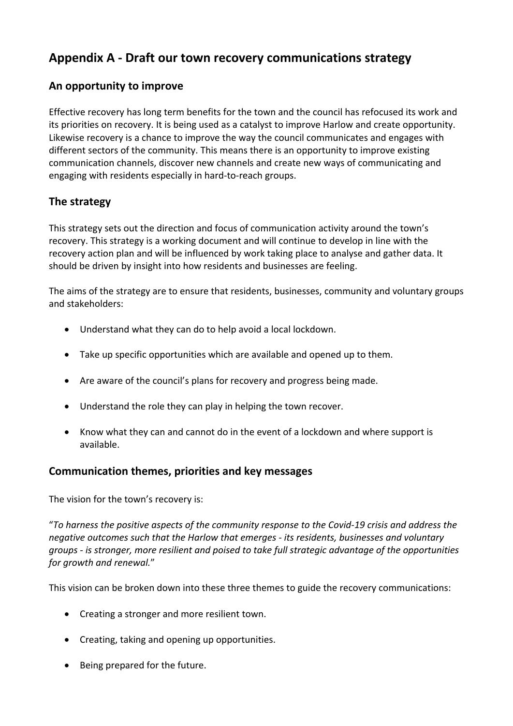# **Appendix A - Draft our town recovery communications strategy**

## **An opportunity to improve**

Effective recovery has long term benefits for the town and the council has refocused its work and its priorities on recovery. It is being used as a catalyst to improve Harlow and create opportunity. Likewise recovery is a chance to improve the way the council communicates and engages with different sectors of the community. This means there is an opportunity to improve existing communication channels, discover new channels and create new ways of communicating and engaging with residents especially in hard-to-reach groups.

## **The strategy**

This strategy sets out the direction and focus of communication activity around the town's recovery. This strategy is a working document and will continue to develop in line with the recovery action plan and will be influenced by work taking place to analyse and gather data. It should be driven by insight into how residents and businesses are feeling.

The aims of the strategy are to ensure that residents, businesses, community and voluntary groups and stakeholders:

- Understand what they can do to help avoid a local lockdown.
- Take up specific opportunities which are available and opened up to them.
- Are aware of the council's plans for recovery and progress being made.
- Understand the role they can play in helping the town recover.
- Know what they can and cannot do in the event of a lockdown and where support is available.

### **Communication themes, priorities and key messages**

The vision for the town's recovery is:

"*To harness the positive aspects of the community response to the Covid-19 crisis and address the negative outcomes such that the Harlow that emerges - its residents, businesses and voluntary groups - is stronger, more resilient and poised to take full strategic advantage of the opportunities for growth and renewal.*"

This vision can be broken down into these three themes to guide the recovery communications:

- Creating a stronger and more resilient town.
- Creating, taking and opening up opportunities.
- Being prepared for the future.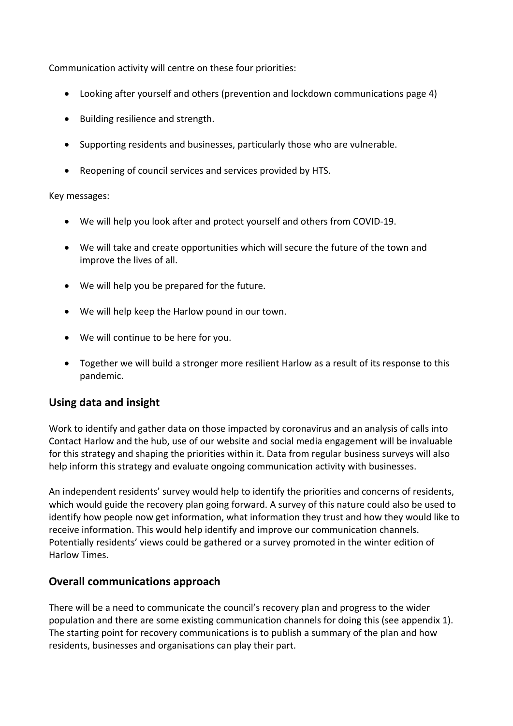Communication activity will centre on these four priorities:

- Looking after yourself and others (prevention and lockdown communications page 4)
- Building resilience and strength.
- Supporting residents and businesses, particularly those who are vulnerable.
- Reopening of council services and services provided by HTS.

#### Key messages:

- We will help you look after and protect yourself and others from COVID-19.
- We will take and create opportunities which will secure the future of the town and improve the lives of all.
- We will help you be prepared for the future.
- We will help keep the Harlow pound in our town.
- We will continue to be here for you.
- Together we will build a stronger more resilient Harlow as a result of its response to this pandemic.

### **Using data and insight**

Work to identify and gather data on those impacted by coronavirus and an analysis of calls into Contact Harlow and the hub, use of our website and social media engagement will be invaluable for this strategy and shaping the priorities within it. Data from regular business surveys will also help inform this strategy and evaluate ongoing communication activity with businesses.

An independent residents' survey would help to identify the priorities and concerns of residents, which would guide the recovery plan going forward. A survey of this nature could also be used to identify how people now get information, what information they trust and how they would like to receive information. This would help identify and improve our communication channels. Potentially residents' views could be gathered or a survey promoted in the winter edition of Harlow Times.

### **Overall communications approach**

There will be a need to communicate the council's recovery plan and progress to the wider population and there are some existing communication channels for doing this (see appendix 1). The starting point for recovery communications is to publish a summary of the plan and how residents, businesses and organisations can play their part.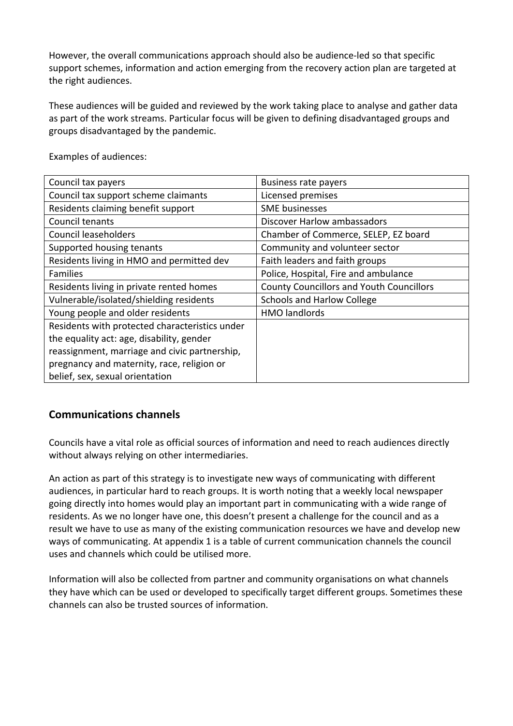However, the overall communications approach should also be audience-led so that specific support schemes, information and action emerging from the recovery action plan are targeted at the right audiences.

These audiences will be guided and reviewed by the work taking place to analyse and gather data as part of the work streams. Particular focus will be given to defining disadvantaged groups and groups disadvantaged by the pandemic.

| Council tax payers                             | <b>Business rate payers</b>                     |
|------------------------------------------------|-------------------------------------------------|
| Council tax support scheme claimants           | Licensed premises                               |
| Residents claiming benefit support             | <b>SME</b> businesses                           |
| Council tenants                                | Discover Harlow ambassadors                     |
| <b>Council leaseholders</b>                    | Chamber of Commerce, SELEP, EZ board            |
| Supported housing tenants                      | Community and volunteer sector                  |
| Residents living in HMO and permitted dev      | Faith leaders and faith groups                  |
| <b>Families</b>                                | Police, Hospital, Fire and ambulance            |
| Residents living in private rented homes       | <b>County Councillors and Youth Councillors</b> |
| Vulnerable/isolated/shielding residents        | <b>Schools and Harlow College</b>               |
| Young people and older residents               | <b>HMO</b> landlords                            |
| Residents with protected characteristics under |                                                 |
| the equality act: age, disability, gender      |                                                 |
| reassignment, marriage and civic partnership,  |                                                 |
| pregnancy and maternity, race, religion or     |                                                 |
| belief, sex, sexual orientation                |                                                 |

Examples of audiences:

### **Communications channels**

Councils have a vital role as official sources of information and need to reach audiences directly without always relying on other intermediaries.

An action as part of this strategy is to investigate new ways of communicating with different audiences, in particular hard to reach groups. It is worth noting that a weekly local newspaper going directly into homes would play an important part in communicating with a wide range of residents. As we no longer have one, this doesn't present a challenge for the council and as a result we have to use as many of the existing communication resources we have and develop new ways of communicating. At appendix 1 is a table of current communication channels the council uses and channels which could be utilised more.

Information will also be collected from partner and community organisations on what channels they have which can be used or developed to specifically target different groups. Sometimes these channels can also be trusted sources of information.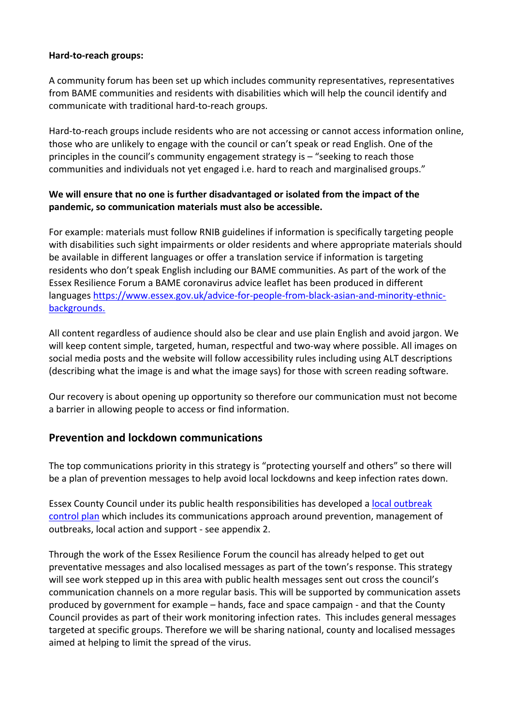#### **Hard-to-reach groups:**

A community forum has been set up which includes community representatives, representatives from BAME communities and residents with disabilities which will help the council identify and communicate with traditional hard-to-reach groups.

Hard-to-reach groups include residents who are not accessing or cannot access information online, those who are unlikely to engage with the council or can't speak or read English. One of the principles in the council's community engagement strategy is – "seeking to reach those communities and individuals not yet engaged i.e. hard to reach and marginalised groups."

#### **We will ensure that no one is further disadvantaged or isolated from the impact of the pandemic, so communication materials must also be accessible.**

For example: materials must follow RNIB guidelines if information is specifically targeting people with disabilities such sight impairments or older residents and where appropriate materials should be available in different languages or offer a translation service if information is targeting residents who don't speak English including our BAME communities. As part of the work of the Essex Resilience Forum a BAME coronavirus advice leaflet has been produced in different languages [https://www.essex.gov.uk/advice-for-people-from-black-asian-and-minority-ethnic](https://www.essex.gov.uk/advice-for-people-from-black-asian-and-minority-ethnic-backgrounds)[backgrounds.](https://www.essex.gov.uk/advice-for-people-from-black-asian-and-minority-ethnic-backgrounds)

All content regardless of audience should also be clear and use plain English and avoid jargon. We will keep content simple, targeted, human, respectful and two-way where possible. All images on social media posts and the website will follow accessibility rules including using ALT descriptions (describing what the image is and what the image says) for those with screen reading software.

Our recovery is about opening up opportunity so therefore our communication must not become a barrier in allowing people to access or find information.

### **Prevention and lockdown communications**

The top communications priority in this strategy is "protecting yourself and others" so there will be a plan of prevention messages to help avoid local lockdowns and keep infection rates down.

Essex County Council under its public health responsibilities has developed a local [outbreak](https://assets.ctfassets.net/knkzaf64jx5x/1o5MFvrIXn4XJb6uYHQkkM/9454014bba61790ad80fb3a9822c8fcb/Essex_COVID-19_Local_Outbreak_Control_Plan.pdf) [control](https://assets.ctfassets.net/knkzaf64jx5x/1o5MFvrIXn4XJb6uYHQkkM/9454014bba61790ad80fb3a9822c8fcb/Essex_COVID-19_Local_Outbreak_Control_Plan.pdf) plan which includes its communications approach around prevention, management of outbreaks, local action and support - see appendix 2.

Through the work of the Essex Resilience Forum the council has already helped to get out preventative messages and also localised messages as part of the town's response. This strategy will see work stepped up in this area with public health messages sent out cross the council's communication channels on a more regular basis. This will be supported by communication assets produced by government for example – hands, face and space campaign - and that the County Council provides as part of their work monitoring infection rates. This includes general messages targeted at specific groups. Therefore we will be sharing national, county and localised messages aimed at helping to limit the spread of the virus.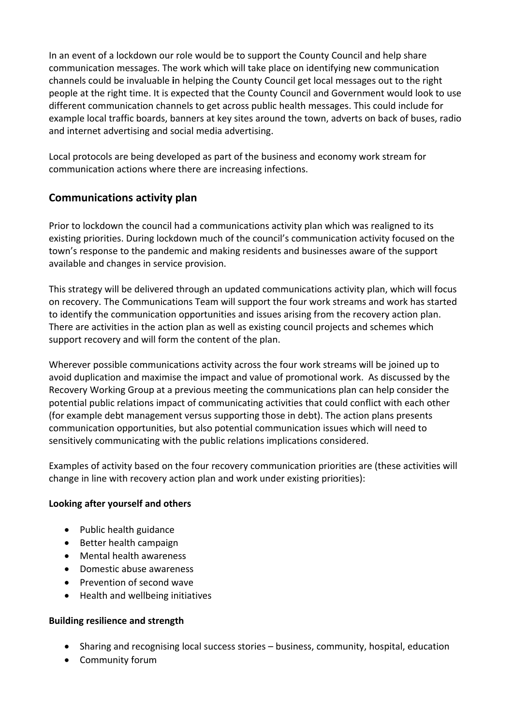In an event of a lockdown our role would be to support the County Council and help share communication messages. The work which will take place on identifying new communication channels could be invaluable **i**n helping the County Council get local messages out to the right people at the right time. It is expected that the County Council and Government would look to use different communication channels to get across public health messages. This could include for example local traffic boards, banners at key sites around the town, adverts on back of buses, radio and internet advertising and social media advertising.

Local protocols are being developed as part of the business and economy work stream for communication actions where there are increasing infections.

## **Communications activity plan**

Prior to lockdown the council had a communications activity plan which was realigned to its existing priorities. During lockdown much of the council's communication activity focused on the town's response to the pandemic and making residents and businesses aware of the support available and changes in service provision.

This strategy will be delivered through an updated communications activity plan, which will focus on recovery. The Communications Team will support the four work streams and work has started to identify the communication opportunities and issues arising from the recovery action plan. There are activities in the action plan as well as existing council projects and schemes which support recovery and will form the content of the plan.

Wherever possible communications activity across the four work streams will be joined up to avoid duplication and maximise the impact and value of promotional work. As discussed by the Recovery Working Group at a previous meeting the communications plan can help consider the potential public relations impact of communicating activities that could conflict with each other (for example debt management versus supporting those in debt). The action plans presents communication opportunities, but also potential communication issues which will need to sensitively communicating with the public relations implications considered.

Examples of activity based on the four recovery communication priorities are (these activities will change in line with recovery action plan and work under existing priorities):

#### **Looking after yourself and others**

- Public health guidance
- Better health campaign
- Mental health awareness
- Domestic abuse awareness
- Prevention of second wave
- Health and wellbeing initiatives

#### **Building resilience and strength**

- Sharing and recognising local success stories business, community, hospital, education
- Community forum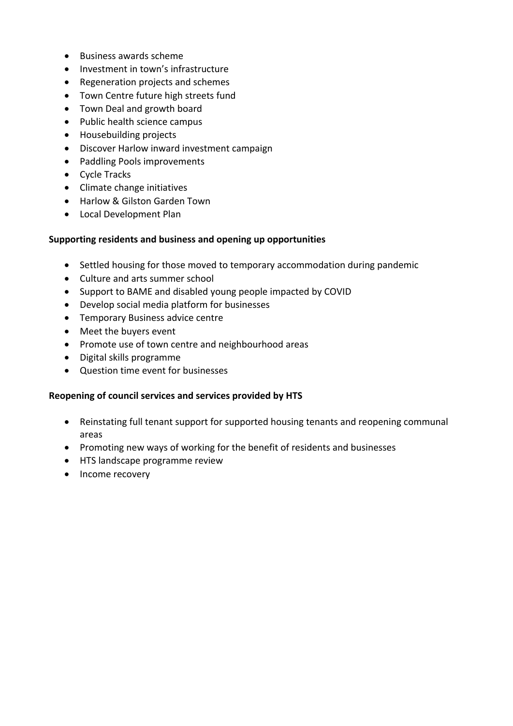- $\bullet$  Business awards scheme
- Investment in town's infrastructure
- Regeneration projects and schemes
- Town Centre future high streets fund
- Town Deal and growth board
- Public health science campus
- Housebuilding projects
- Discover Harlow inward investment campaign
- Paddling Pools improvements
- Cycle Tracks
- Climate change initiatives
- Harlow & Gilston Garden Town
- Local Development Plan

#### **Supporting residents and business and opening up opportunities**

- Settled housing for those moved to temporary accommodation during pandemic
- Culture and arts summer school
- Support to BAME and disabled young people impacted by COVID
- Develop social media platform for businesses
- **•** Temporary Business advice centre
- Meet the buyers event
- Promote use of town centre and neighbourhood areas
- Digital skills programme
- Question time event for businesses

#### **Reopening of council services and services provided by HTS**

- Reinstating full tenant support for supported housing tenants and reopening communal areas
- Promoting new ways of working for the benefit of residents and businesses
- HTS landscape programme review
- Income recovery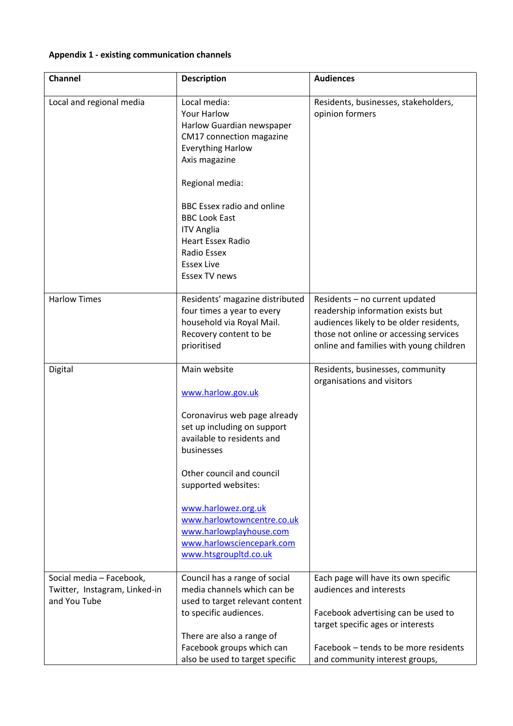### **Appendix 1 - existing communication channels**

| Channel                                                                   | <b>Description</b>                                                                                                                                                                                                                                                                                                                     | <b>Audiences</b>                                                                                                                                                                                                       |
|---------------------------------------------------------------------------|----------------------------------------------------------------------------------------------------------------------------------------------------------------------------------------------------------------------------------------------------------------------------------------------------------------------------------------|------------------------------------------------------------------------------------------------------------------------------------------------------------------------------------------------------------------------|
| Local and regional media                                                  | Local media:<br><b>Your Harlow</b><br>Harlow Guardian newspaper<br>CM17 connection magazine<br><b>Everything Harlow</b><br>Axis magazine<br>Regional media:<br><b>BBC Essex radio and online</b><br><b>BBC Look East</b><br><b>ITV Anglia</b><br><b>Heart Essex Radio</b><br>Radio Essex<br><b>Essex Live</b><br><b>Essex TV news</b>  | Residents, businesses, stakeholders,<br>opinion formers                                                                                                                                                                |
| <b>Harlow Times</b>                                                       | Residents' magazine distributed<br>four times a year to every<br>household via Royal Mail.<br>Recovery content to be<br>prioritised                                                                                                                                                                                                    | Residents - no current updated<br>readership information exists but<br>audiences likely to be older residents,<br>those not online or accessing services<br>online and families with young children                    |
| Digital                                                                   | Main website<br>www.harlow.gov.uk<br>Coronavirus web page already<br>set up including on support<br>available to residents and<br>businesses<br>Other council and council<br>supported websites:<br>www.harlowez.org.uk<br>www.harlowtowncentre.co.uk<br>www.harlowplayhouse.com<br>www.harlowsciencepark.com<br>www.htsgroupltd.co.uk | Residents, businesses, community<br>organisations and visitors                                                                                                                                                         |
| Social media - Facebook,<br>Twitter, Instagram, Linked-in<br>and You Tube | Council has a range of social<br>media channels which can be<br>used to target relevant content<br>to specific audiences.<br>There are also a range of<br>Facebook groups which can<br>also be used to target specific                                                                                                                 | Each page will have its own specific<br>audiences and interests<br>Facebook advertising can be used to<br>target specific ages or interests<br>Facebook - tends to be more residents<br>and community interest groups, |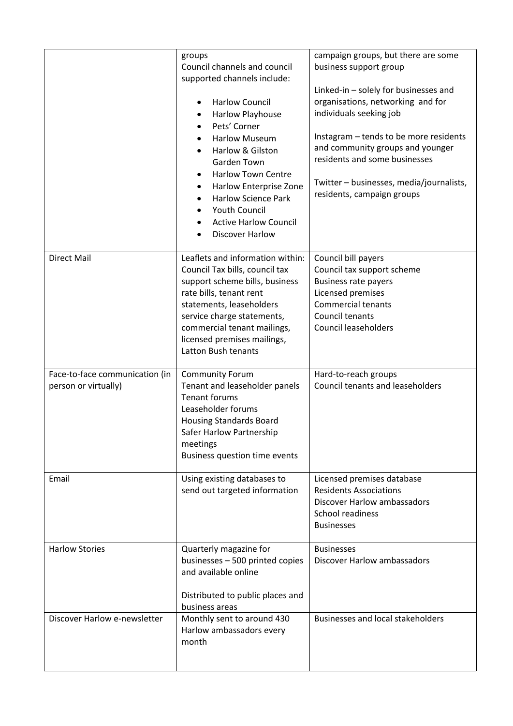|                                                        | groups<br>Council channels and council<br>supported channels include:<br><b>Harlow Council</b><br>$\bullet$<br>Harlow Playhouse<br>Pets' Corner<br><b>Harlow Museum</b><br>Harlow & Gilston<br>Garden Town<br><b>Harlow Town Centre</b><br>Harlow Enterprise Zone<br><b>Harlow Science Park</b><br><b>Youth Council</b><br><b>Active Harlow Council</b><br><b>Discover Harlow</b> | campaign groups, but there are some<br>business support group<br>Linked-in $-$ solely for businesses and<br>organisations, networking and for<br>individuals seeking job<br>Instagram - tends to be more residents<br>and community groups and younger<br>residents and some businesses<br>Twitter - businesses, media/journalists,<br>residents, campaign groups |
|--------------------------------------------------------|-----------------------------------------------------------------------------------------------------------------------------------------------------------------------------------------------------------------------------------------------------------------------------------------------------------------------------------------------------------------------------------|-------------------------------------------------------------------------------------------------------------------------------------------------------------------------------------------------------------------------------------------------------------------------------------------------------------------------------------------------------------------|
| <b>Direct Mail</b>                                     | Leaflets and information within:<br>Council Tax bills, council tax<br>support scheme bills, business<br>rate bills, tenant rent<br>statements, leaseholders<br>service charge statements,<br>commercial tenant mailings,<br>licensed premises mailings,<br>Latton Bush tenants                                                                                                    | Council bill payers<br>Council tax support scheme<br><b>Business rate payers</b><br>Licensed premises<br>Commercial tenants<br>Council tenants<br><b>Council leaseholders</b>                                                                                                                                                                                     |
| Face-to-face communication (in<br>person or virtually) | <b>Community Forum</b><br>Tenant and leaseholder panels<br><b>Tenant forums</b><br>Leaseholder forums<br><b>Housing Standards Board</b><br>Safer Harlow Partnership<br>meetings<br>Business question time events                                                                                                                                                                  | Hard-to-reach groups<br><b>Council tenants and leaseholders</b>                                                                                                                                                                                                                                                                                                   |
| Email                                                  | Using existing databases to<br>send out targeted information                                                                                                                                                                                                                                                                                                                      | Licensed premises database<br><b>Residents Associations</b><br><b>Discover Harlow ambassadors</b><br>School readiness<br><b>Businesses</b>                                                                                                                                                                                                                        |
| <b>Harlow Stories</b>                                  | Quarterly magazine for<br>businesses - 500 printed copies<br>and available online<br>Distributed to public places and<br>business areas                                                                                                                                                                                                                                           | <b>Businesses</b><br><b>Discover Harlow ambassadors</b>                                                                                                                                                                                                                                                                                                           |
| Discover Harlow e-newsletter                           | Monthly sent to around 430<br>Harlow ambassadors every<br>month                                                                                                                                                                                                                                                                                                                   | <b>Businesses and local stakeholders</b>                                                                                                                                                                                                                                                                                                                          |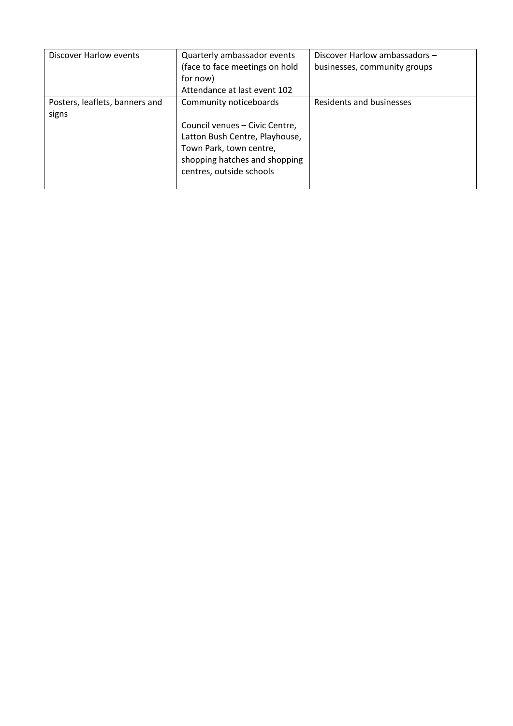| Discover Harlow events                  | Quarterly ambassador events<br>(face to face meetings on hold<br>for now)<br>Attendance at last event 102                                                                          | Discover Harlow ambassadors -<br>businesses, community groups |
|-----------------------------------------|------------------------------------------------------------------------------------------------------------------------------------------------------------------------------------|---------------------------------------------------------------|
| Posters, leaflets, banners and<br>signs | Community noticeboards<br>Council venues - Civic Centre,<br>Latton Bush Centre, Playhouse,<br>Town Park, town centre,<br>shopping hatches and shopping<br>centres, outside schools | Residents and businesses                                      |